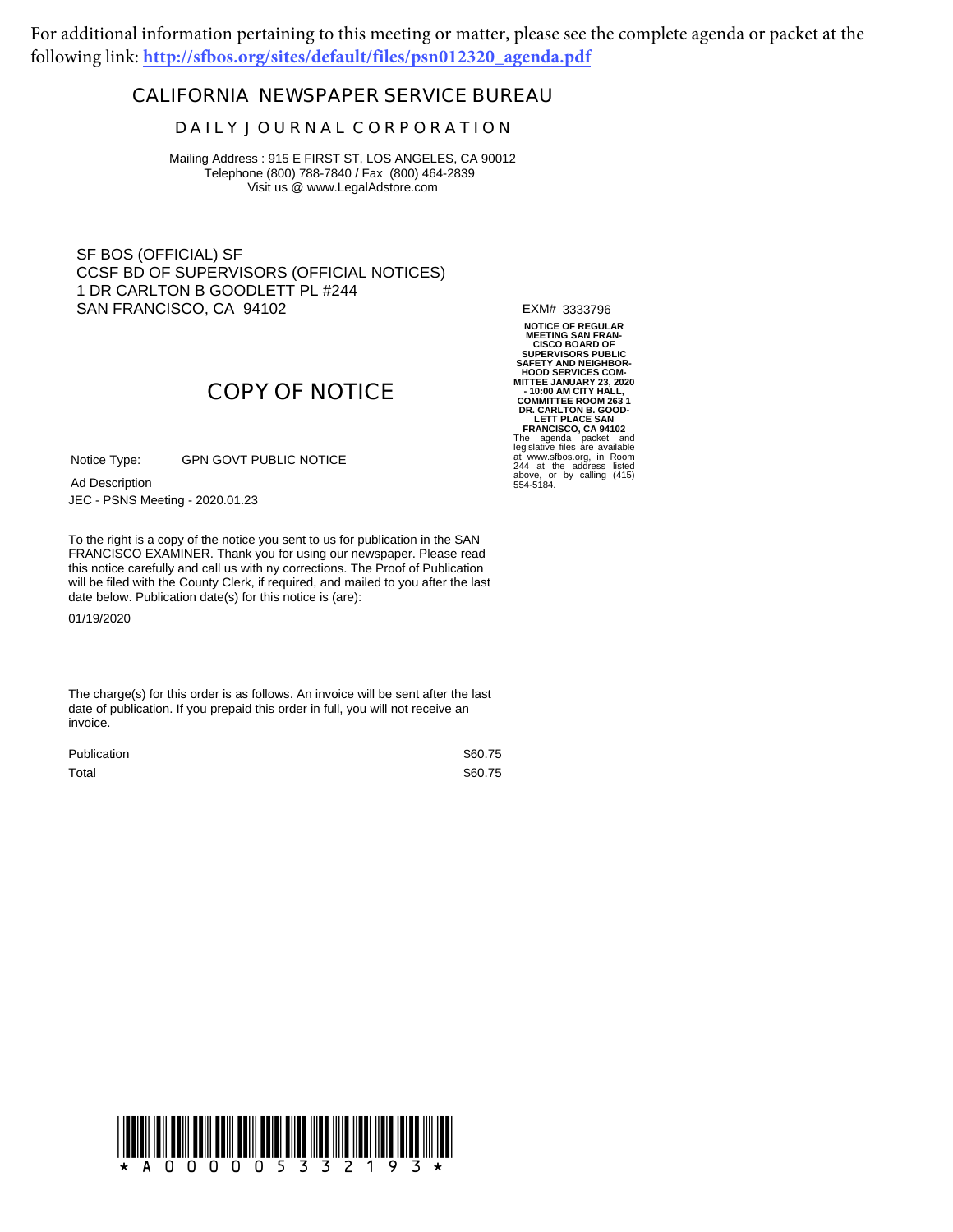For additional information pertaining to this meeting or matter, please see the complete agenda or packet at the following link: **http://sfbos.org/sites/default/files/psn012320\_agenda.pdf**

### **CALIFORNIA NEWSPAPER SERVICE BUREAU**

#### **D A I L Y J O U R N A L C O R P O R A T I O N**

Mailing Address : 915 E FIRST ST, LOS ANGELES, CA 90012 Telephone (800) 788-7840 / Fax (800) 464-2839 Visit us @ www.LegalAdstore.com

SF BOS (OFFICIAL) SF CCSF BD OF SUPERVISORS (OFFICIAL NOTICES) 1 DR CARLTON B GOODLETT PL #244 SAN FRANCISCO, CA 94102

EXM# 3333796

# **COPY OF NOTICE**

GPN GOVT PUBLIC NOTICE Notice Type:

JEC - PSNS Meeting - 2020.01.23 Ad Description

FRANCISCO EXAMINER. Thank you for using our newspaper. Please read<br>this notice carefully and call us with ny corrections. The Proof of Publication To the right is a copy of the notice you sent to us for publication in the SAN FRANCISCO EXAMINER. Thank you for using our newspaper. Please read will be filed with the County Clerk, if required, and mailed to you after the last date below. Publication date(s) for this notice is (are):

01/19/2020

The charge(s) for this order is as follows. An invoice will be sent after the last date of publication. If you prepaid this order in full, you will not receive an invoice.

| <b>Publication</b> | \$60.75 |
|--------------------|---------|
| Total              | \$60.75 |

**NOTICE OF REGULAR MEETING SAN FRAN-CISCO BOARD OF<br>
SUPERVISORS PUBLIC<br>
SAFETY AND NEIGHBOR-<br>
HOOD SERVICES COM-<br>
MITTEE JANUARY 23, 2020<br>
- 10:00 AM CITY HALL,<br>
COMMITTEE ROOM 263 1 DR. CARLTON B. GOOD-LETT PLACE SAN FRANCISCO, CA 94102** The agenda packet and legislative files are available at www.sfbos.org, in Room 244 at the address listed above, or by calling (415) 554-5184.